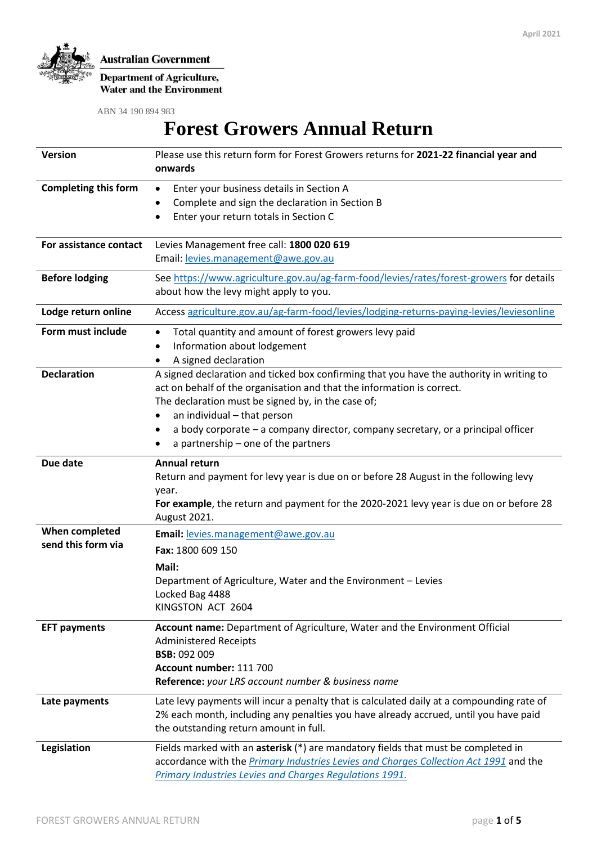

**Department of Agriculture, Water and the Environment** 

ABN 34 190 894 983

# **Forest Growers Annual Return**

| Version                              | Please use this return form for Forest Growers returns for 2021-22 financial year and<br>onwards                                                                                                                                                                                                                                                                                        |
|--------------------------------------|-----------------------------------------------------------------------------------------------------------------------------------------------------------------------------------------------------------------------------------------------------------------------------------------------------------------------------------------------------------------------------------------|
| <b>Completing this form</b>          | Enter your business details in Section A<br>٠<br>Complete and sign the declaration in Section B<br>٠<br>Enter your return totals in Section C<br>٠                                                                                                                                                                                                                                      |
| For assistance contact               | Levies Management free call: 1800 020 619<br>Email: levies.management@awe.gov.au                                                                                                                                                                                                                                                                                                        |
| <b>Before lodging</b>                | See https://www.agriculture.gov.au/ag-farm-food/levies/rates/forest-growers for details<br>about how the levy might apply to you.                                                                                                                                                                                                                                                       |
| Lodge return online                  | Access agriculture.gov.au/ag-farm-food/levies/lodging-returns-paying-levies/leviesonline                                                                                                                                                                                                                                                                                                |
| Form must include                    | Total quantity and amount of forest growers levy paid<br>$\bullet$<br>Information about lodgement<br>A signed declaration<br>٠                                                                                                                                                                                                                                                          |
| <b>Declaration</b>                   | A signed declaration and ticked box confirming that you have the authority in writing to<br>act on behalf of the organisation and that the information is correct.<br>The declaration must be signed by, in the case of;<br>an individual - that person<br>٠<br>a body corporate - a company director, company secretary, or a principal officer<br>a partnership - one of the partners |
| Due date                             | <b>Annual return</b><br>Return and payment for levy year is due on or before 28 August in the following levy<br>year.<br>For example, the return and payment for the 2020-2021 levy year is due on or before 28<br>August 2021.                                                                                                                                                         |
| When completed<br>send this form via | Email: levies.management@awe.gov.au<br>Fax: 1800 609 150<br>Mail:<br>Department of Agriculture, Water and the Environment - Levies<br>Locked Bag 4488<br>KINGSTON ACT 2604                                                                                                                                                                                                              |
| <b>EFT payments</b>                  | Account name: Department of Agriculture, Water and the Environment Official<br><b>Administered Receipts</b><br><b>BSB: 092 009</b><br>Account number: 111 700<br>Reference: your LRS account number & business name                                                                                                                                                                     |
| Late payments                        | Late levy payments will incur a penalty that is calculated daily at a compounding rate of<br>2% each month, including any penalties you have already accrued, until you have paid<br>the outstanding return amount in full.                                                                                                                                                             |
| Legislation                          | Fields marked with an asterisk (*) are mandatory fields that must be completed in<br>accordance with the <i>Primary Industries Levies and Charges Collection Act 1991</i> and the<br>Primary Industries Levies and Charges Regulations 1991.                                                                                                                                            |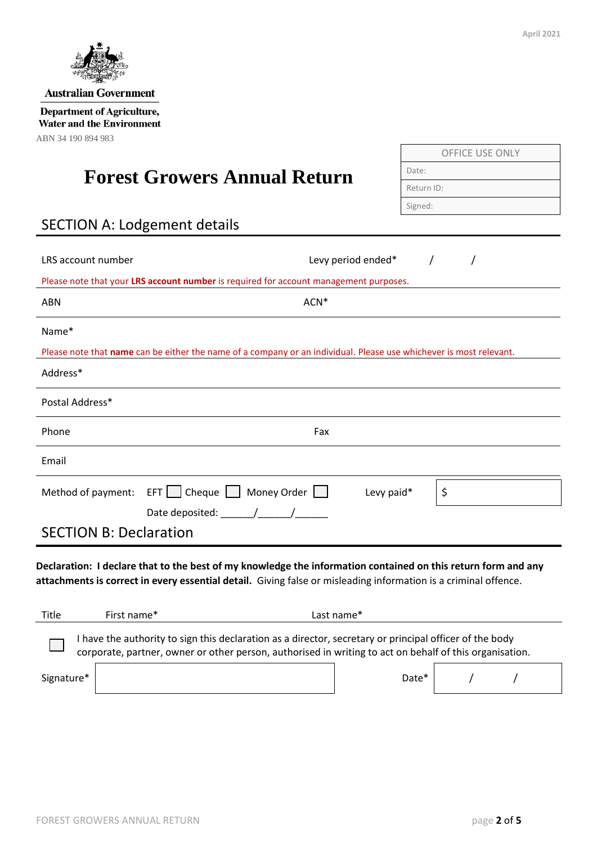

**Australian Government** 

**Department of Agriculture,** Water and the Environment ABN 34 190 894 983

## **Forest Growers Annual Return**

## SECTION A: Lodgement details

| LRS account number                                                                                                                                                                                                               | Levy period ended* |    |  |  |  |  |  |  |
|----------------------------------------------------------------------------------------------------------------------------------------------------------------------------------------------------------------------------------|--------------------|----|--|--|--|--|--|--|
| Please note that your LRS account number is required for account management purposes.                                                                                                                                            |                    |    |  |  |  |  |  |  |
| <b>ABN</b>                                                                                                                                                                                                                       | ACN*               |    |  |  |  |  |  |  |
| Name*                                                                                                                                                                                                                            |                    |    |  |  |  |  |  |  |
| Please note that name can be either the name of a company or an individual. Please use whichever is most relevant.                                                                                                               |                    |    |  |  |  |  |  |  |
| Address*                                                                                                                                                                                                                         |                    |    |  |  |  |  |  |  |
| Postal Address*                                                                                                                                                                                                                  |                    |    |  |  |  |  |  |  |
| Phone                                                                                                                                                                                                                            | Fax                |    |  |  |  |  |  |  |
| Email                                                                                                                                                                                                                            |                    |    |  |  |  |  |  |  |
| Method of payment: EFT   Cheque   Money Order                                                                                                                                                                                    | Levy paid*         | \$ |  |  |  |  |  |  |
|                                                                                                                                                                                                                                  |                    |    |  |  |  |  |  |  |
| <b>SECTION B: Declaration</b>                                                                                                                                                                                                    |                    |    |  |  |  |  |  |  |
| Declaration: I declare that to the best of my knowledge the information contained on this return form and any<br>attachments is correct in every essential detail. Giving false or misleading information is a criminal offence. |                    |    |  |  |  |  |  |  |
| First name*<br>Title                                                                                                                                                                                                             | Last name*         |    |  |  |  |  |  |  |
| I have the authority to sign this declaration as a director, secretary or principal officer of the body<br>corporate, partner, owner or other person, authorised in writing to act on behalf of this organisation.               |                    |    |  |  |  |  |  |  |
| Signature*                                                                                                                                                                                                                       | Date*              |    |  |  |  |  |  |  |

OFFICE USE ONLY

Date: Return ID: Signed: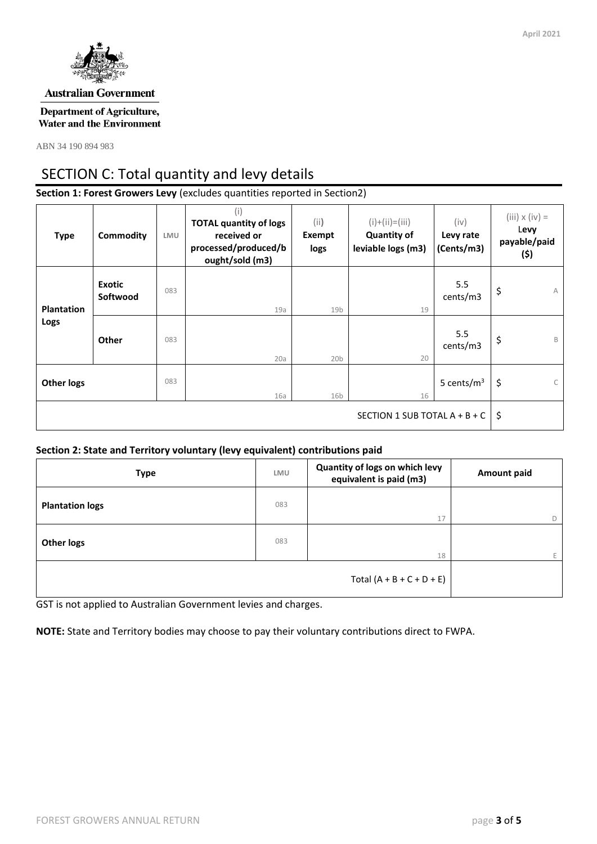

#### **Australian Government**

**Department of Agriculture, Water and the Environment** 

ABN 34 190 894 983

## SECTION C: Total quantity and levy details

**Section 1: Forest Growers Levy** (excludes quantities reported in Section2)

| <b>Type</b>                   | Commodity                 | LMU | (i)<br><b>TOTAL quantity of logs</b><br>received or<br>processed/produced/b<br>ought/sold (m3) | (i)<br>Exempt<br>logs | $(i)+(ii)=(iii)$<br><b>Quantity of</b><br>leviable logs (m3) | (iv)<br>Levy rate<br>(Cents/m3) | $(iii) \times (iv) =$<br>Levy<br>payable/paid<br>(\$) |
|-------------------------------|---------------------------|-----|------------------------------------------------------------------------------------------------|-----------------------|--------------------------------------------------------------|---------------------------------|-------------------------------------------------------|
| <b>Plantation</b><br>Logs     | <b>Exotic</b><br>Softwood | 083 | 19a                                                                                            | 19 <sub>b</sub>       | 19                                                           | 5.5<br>cents/m3                 | \$<br>A                                               |
|                               | Other                     | 083 | 20a                                                                                            | 20 <sub>b</sub>       | 20                                                           | 5.5<br>cents/m3                 | \$<br>B                                               |
| <b>Other logs</b>             |                           | 083 | 16a                                                                                            | 16 <sub>b</sub>       | 16                                                           | 5 cents/ $m3$                   | $\mathsf{C}$<br>\$                                    |
| SECTION 1 SUB TOTAL A + B + C |                           |     |                                                                                                |                       |                                                              | \$                              |                                                       |

#### **Section 2: State and Territory voluntary (levy equivalent) contributions paid**

| <b>Type</b>            | LMU | Quantity of logs on which levy<br>equivalent is paid (m3) | <b>Amount paid</b> |  |
|------------------------|-----|-----------------------------------------------------------|--------------------|--|
| <b>Plantation logs</b> | 083 | 17                                                        |                    |  |
| <b>Other logs</b>      | 083 | 18                                                        | D<br>E.            |  |
|                        |     | Total $(A + B + C + D + E)$                               |                    |  |

GST is not applied to Australian Government levies and charges.

**NOTE:** State and Territory bodies may choose to pay their voluntary contributions direct to FWPA.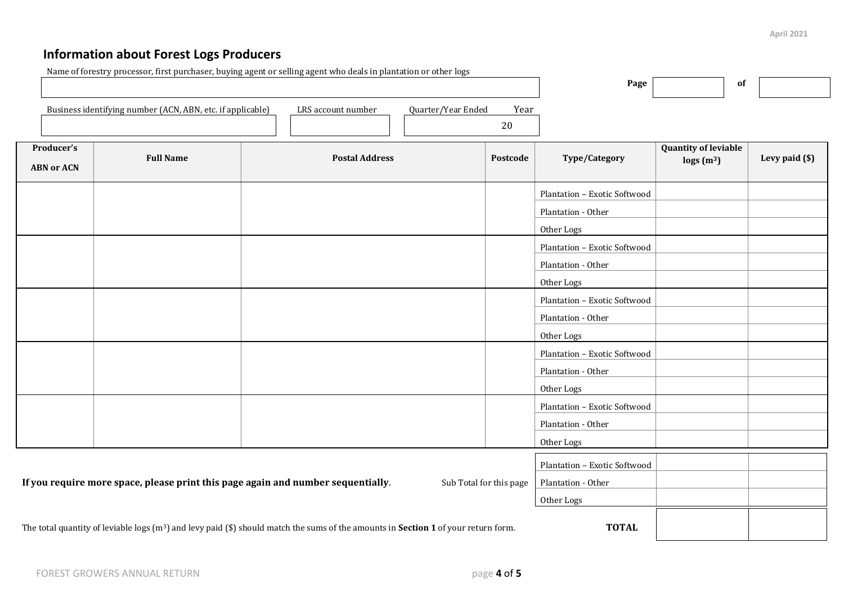# **Information about Forest Logs Producers**

|                                                                                                                                                              |                                                            | Name of forestry processor, first purchaser, buying agent or selling agent who deals in plantation or other logs |                         |            |                              |                             |    |                |
|--------------------------------------------------------------------------------------------------------------------------------------------------------------|------------------------------------------------------------|------------------------------------------------------------------------------------------------------------------|-------------------------|------------|------------------------------|-----------------------------|----|----------------|
|                                                                                                                                                              |                                                            |                                                                                                                  |                         |            | Page                         |                             | of |                |
|                                                                                                                                                              | Business identifying number (ACN, ABN, etc. if applicable) | LRS account number                                                                                               | Quarter/Year Ended      | Year       |                              |                             |    |                |
|                                                                                                                                                              |                                                            |                                                                                                                  | 20                      |            |                              |                             |    |                |
| Producer's                                                                                                                                                   |                                                            |                                                                                                                  |                         |            |                              | <b>Quantity of leviable</b> |    |                |
|                                                                                                                                                              | <b>Full Name</b>                                           | <b>Postal Address</b>                                                                                            | Postcode                |            | Type/Category                | $\log s$ (m <sup>3</sup> )  |    | Levy paid (\$) |
| <b>ABN or ACN</b>                                                                                                                                            |                                                            |                                                                                                                  |                         |            |                              |                             |    |                |
|                                                                                                                                                              |                                                            |                                                                                                                  |                         |            | Plantation - Exotic Softwood |                             |    |                |
|                                                                                                                                                              |                                                            |                                                                                                                  |                         |            | Plantation - Other           |                             |    |                |
|                                                                                                                                                              |                                                            |                                                                                                                  |                         |            | Other Logs                   |                             |    |                |
|                                                                                                                                                              |                                                            |                                                                                                                  |                         |            | Plantation - Exotic Softwood |                             |    |                |
|                                                                                                                                                              |                                                            |                                                                                                                  |                         |            | Plantation - Other           |                             |    |                |
|                                                                                                                                                              |                                                            |                                                                                                                  |                         |            | Other Logs                   |                             |    |                |
|                                                                                                                                                              |                                                            |                                                                                                                  |                         |            | Plantation - Exotic Softwood |                             |    |                |
|                                                                                                                                                              |                                                            |                                                                                                                  |                         |            | Plantation - Other           |                             |    |                |
|                                                                                                                                                              |                                                            |                                                                                                                  |                         |            | Other Logs                   |                             |    |                |
|                                                                                                                                                              |                                                            |                                                                                                                  |                         |            | Plantation - Exotic Softwood |                             |    |                |
|                                                                                                                                                              |                                                            |                                                                                                                  |                         |            | Plantation - Other           |                             |    |                |
|                                                                                                                                                              |                                                            |                                                                                                                  |                         |            | Other Logs                   |                             |    |                |
|                                                                                                                                                              |                                                            |                                                                                                                  |                         |            | Plantation - Exotic Softwood |                             |    |                |
|                                                                                                                                                              |                                                            |                                                                                                                  |                         |            | Plantation - Other           |                             |    |                |
|                                                                                                                                                              |                                                            |                                                                                                                  |                         |            | Other Logs                   |                             |    |                |
|                                                                                                                                                              |                                                            |                                                                                                                  |                         |            | Plantation - Exotic Softwood |                             |    |                |
|                                                                                                                                                              |                                                            | If you require more space, please print this page again and number sequentially.                                 | Sub Total for this page |            | Plantation - Other           |                             |    |                |
|                                                                                                                                                              |                                                            |                                                                                                                  |                         | Other Logs |                              |                             |    |                |
|                                                                                                                                                              |                                                            |                                                                                                                  |                         |            |                              |                             |    |                |
| <b>TOTAL</b><br>The total quantity of leviable logs $(m^3)$ and levy paid (\$) should match the sums of the amounts in <b>Section 1</b> of your return form. |                                                            |                                                                                                                  |                         |            |                              |                             |    |                |